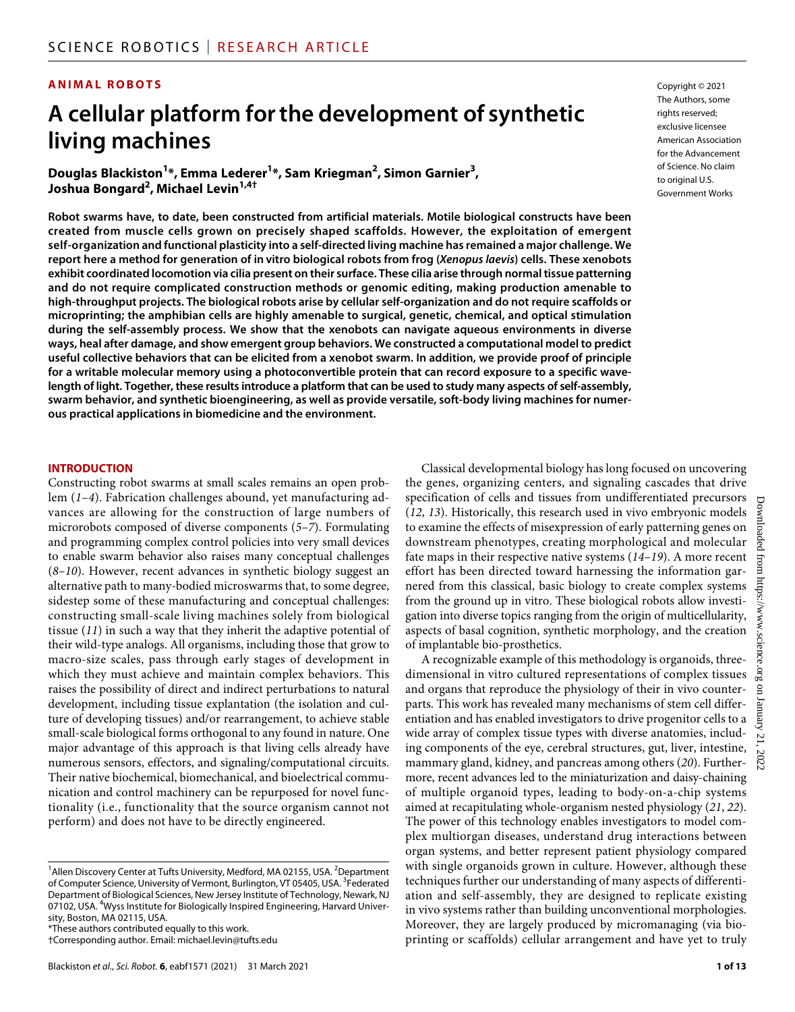#### **ANIMAL ROBOTS**

# **A cellular platform forthe development of synthetic living machines**

**Douglas Blackiston1 \*, Emma Lederer1 \*, Sam Kriegman2 , Simon Garnier3 , Joshua Bongard<sup>2</sup> , Michael Levin1,4†**

**Robot swarms have, to date, been constructed from artificial materials. Motile biological constructs have been created from muscle cells grown on precisely shaped scaffolds. However, the exploitation of emergent self-organization and functional plasticity into a self-directed living machine has remained a major challenge. We report here a method for generation of in vitro biological robots from frog (***Xenopus laevis***) cells. These xenobots exhibit coordinated locomotion via cilia present on their surface. These cilia arise through normal tissue patterning and do not require complicated construction methods or genomic editing, making production amenable to high-throughput projects. The biological robots arise by cellular self-organization and do not require scaffolds or microprinting; the amphibian cells are highly amenable to surgical, genetic, chemical, and optical stimulation during the self-assembly process. We show that the xenobots can navigate aqueous environments in diverse ways, heal after damage, and show emergent group behaviors. We constructed a computational model to predict useful collective behaviors that can be elicited from a xenobot swarm. In addition, we provide proof of principle for a writable molecular memory using a photoconvertible protein that can record exposure to a specific wavelength of light. Together, these results introduce a platform that can be used to study many aspects of self-assembly, swarm behavior, and synthetic bioengineering, as well as provide versatile, soft-body living machines for numerous practical applications in biomedicine and the environment.**

#### **INTRODUCTION**

Constructing robot swarms at small scales remains an open problem (*1*–*4*). Fabrication challenges abound, yet manufacturing advances are allowing for the construction of large numbers of microrobots composed of diverse components (*5*–*7*). Formulating and programming complex control policies into very small devices to enable swarm behavior also raises many conceptual challenges (*8*–*10*). However, recent advances in synthetic biology suggest an alternative path to many-bodied microswarms that, to some degree, sidestep some of these manufacturing and conceptual challenges: constructing small-scale living machines solely from biological tissue (*11*) in such a way that they inherit the adaptive potential of their wild-type analogs. All organisms, including those that grow to macro-size scales, pass through early stages of development in which they must achieve and maintain complex behaviors. This raises the possibility of direct and indirect perturbations to natural development, including tissue explantation (the isolation and culture of developing tissues) and/or rearrangement, to achieve stable small-scale biological forms orthogonal to any found in nature. One major advantage of this approach is that living cells already have numerous sensors, effectors, and signaling/computational circuits. Their native biochemical, biomechanical, and bioelectrical communication and control machinery can be repurposed for novel functionality (i.e., functionality that the source organism cannot not perform) and does not have to be directly engineered.

\*These authors contributed equally to this work.

Copyright © 2021 The Authors, some rights reserved: exclusive licensee American Association for the Advancement of Science. No claim to original U.S. Government Works

Classical developmental biology has long focused on uncovering the genes, organizing centers, and signaling cascades that drive specification of cells and tissues from undifferentiated precursors (*12*, *13*). Historically, this research used in vivo embryonic models to examine the effects of misexpression of early patterning genes on downstream phenotypes, creating morphological and molecular fate maps in their respective native systems (*14*–*19*). A more recent effort has been directed toward harnessing the information garnered from this classical, basic biology to create complex systems from the ground up in vitro. These biological robots allow investigation into diverse topics ranging from the origin of multicellularity, aspects of basal cognition, synthetic morphology, and the creation of implantable bio-prosthetics.

A recognizable example of this methodology is organoids, threedimensional in vitro cultured representations of complex tissues and organs that reproduce the physiology of their in vivo counterparts. This work has revealed many mechanisms of stem cell differentiation and has enabled investigators to drive progenitor cells to a wide array of complex tissue types with diverse anatomies, including components of the eye, cerebral structures, gut, liver, intestine, mammary gland, kidney, and pancreas among others (*20*). Furthermore, recent advances led to the miniaturization and daisy-chaining of multiple organoid types, leading to body-on-a-chip systems aimed at recapitulating whole-organism nested physiology (*21*, *22*). The power of this technology enables investigators to model complex multiorgan diseases, understand drug interactions between organ systems, and better represent patient physiology compared with single organoids grown in culture. However, although these techniques further our understanding of many aspects of differentiation and self-assembly, they are designed to replicate existing in vivo systems rather than building unconventional morphologies. Moreover, they are largely produced by micromanaging (via bioprinting or scaffolds) cellular arrangement and have yet to truly

<sup>&</sup>lt;sup>1</sup> Allen Discovery Center at Tufts University, Medford, MA 02155, USA. <sup>2</sup> Department of Computer Science, University of Vermont, Burlington, VT 05405, USA. <sup>3</sup>Federated Department of Biological Sciences, New Jersey Institute of Technology, Newark, NJ 07102, USA. <sup>4</sup>Wyss Institute for Biologically Inspired Engineering, Harvard University, Boston, MA 02115, USA.

<sup>†</sup>Corresponding author. Email: [michael.levin@tufts.edu](mailto:michael.levin@tufts.edu)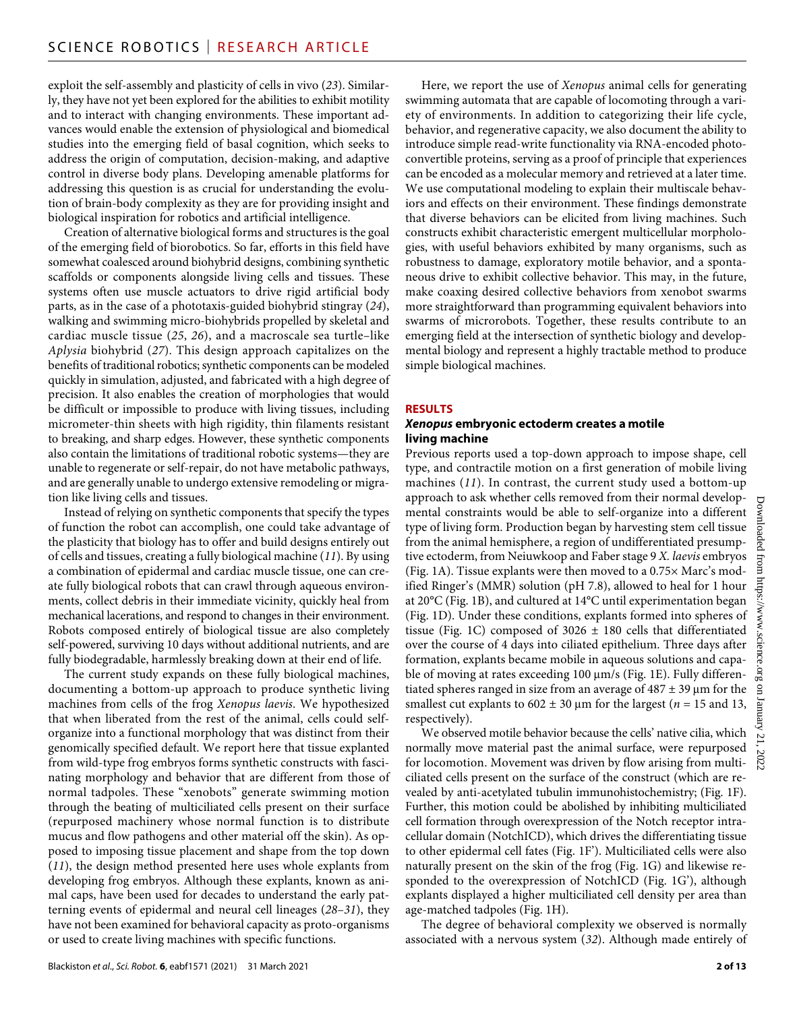exploit the self-assembly and plasticity of cells in vivo (*23*). Similarly, they have not yet been explored for the abilities to exhibit motility and to interact with changing environments. These important advances would enable the extension of physiological and biomedical studies into the emerging field of basal cognition, which seeks to address the origin of computation, decision-making, and adaptive control in diverse body plans. Developing amenable platforms for addressing this question is as crucial for understanding the evolution of brain-body complexity as they are for providing insight and biological inspiration for robotics and artificial intelligence.

Creation of alternative biological forms and structures is the goal of the emerging field of biorobotics. So far, efforts in this field have somewhat coalesced around biohybrid designs, combining synthetic scaffolds or components alongside living cells and tissues. These systems often use muscle actuators to drive rigid artificial body parts, as in the case of a phototaxis-guided biohybrid stingray (*24*), walking and swimming micro-biohybrids propelled by skeletal and cardiac muscle tissue (*25*, *26*), and a macroscale sea turtle–like *Aplysia* biohybrid (*27*). This design approach capitalizes on the benefits of traditional robotics; synthetic components can be modeled quickly in simulation, adjusted, and fabricated with a high degree of precision. It also enables the creation of morphologies that would be difficult or impossible to produce with living tissues, including micrometer-thin sheets with high rigidity, thin filaments resistant to breaking, and sharp edges. However, these synthetic components also contain the limitations of traditional robotic systems—they are unable to regenerate or self-repair, do not have metabolic pathways, and are generally unable to undergo extensive remodeling or migration like living cells and tissues.

Instead of relying on synthetic components that specify the types of function the robot can accomplish, one could take advantage of the plasticity that biology has to offer and build designs entirely out of cells and tissues, creating a fully biological machine (*11*). By using a combination of epidermal and cardiac muscle tissue, one can create fully biological robots that can crawl through aqueous environments, collect debris in their immediate vicinity, quickly heal from mechanical lacerations, and respond to changes in their environment. Robots composed entirely of biological tissue are also completely self-powered, surviving 10 days without additional nutrients, and are fully biodegradable, harmlessly breaking down at their end of life.

The current study expands on these fully biological machines, documenting a bottom-up approach to produce synthetic living machines from cells of the frog *Xenopus laevis*. We hypothesized that when liberated from the rest of the animal, cells could selforganize into a functional morphology that was distinct from their genomically specified default. We report here that tissue explanted from wild-type frog embryos forms synthetic constructs with fascinating morphology and behavior that are different from those of normal tadpoles. These "xenobots" generate swimming motion through the beating of multiciliated cells present on their surface (repurposed machinery whose normal function is to distribute mucus and flow pathogens and other material off the skin). As opposed to imposing tissue placement and shape from the top down (*11*), the design method presented here uses whole explants from developing frog embryos. Although these explants, known as animal caps, have been used for decades to understand the early patterning events of epidermal and neural cell lineages (*28*–*31*), they have not been examined for behavioral capacity as proto-organisms or used to create living machines with specific functions.

Here, we report the use of *Xenopus* animal cells for generating swimming automata that are capable of locomoting through a variety of environments. In addition to categorizing their life cycle, behavior, and regenerative capacity, we also document the ability to introduce simple read-write functionality via RNA-encoded photoconvertible proteins, serving as a proof of principle that experiences can be encoded as a molecular memory and retrieved at a later time. We use computational modeling to explain their multiscale behaviors and effects on their environment. These findings demonstrate that diverse behaviors can be elicited from living machines. Such constructs exhibit characteristic emergent multicellular morphologies, with useful behaviors exhibited by many organisms, such as robustness to damage, exploratory motile behavior, and a spontaneous drive to exhibit collective behavior. This may, in the future, make coaxing desired collective behaviors from xenobot swarms more straightforward than programming equivalent behaviors into swarms of microrobots. Together, these results contribute to an emerging field at the intersection of synthetic biology and developmental biology and represent a highly tractable method to produce simple biological machines.

#### **RESULTS**

#### *Xenopus* **embryonic ectoderm creates a motile living machine**

Previous reports used a top-down approach to impose shape, cell type, and contractile motion on a first generation of mobile living machines (*11*). In contrast, the current study used a bottom-up approach to ask whether cells removed from their normal developmental constraints would be able to self-organize into a different type of living form. Production began by harvesting stem cell tissue from the animal hemisphere, a region of undifferentiated presumptive ectoderm, from Neiuwkoop and Faber stage 9 *X. laevis* embryos (Fig. 1A). Tissue explants were then moved to a 0.75× Marc's modified Ringer's (MMR) solution (pH 7.8), allowed to heal for 1 hour at 20°C (Fig. 1B), and cultured at 14°C until experimentation began (Fig. 1D). Under these conditions, explants formed into spheres of tissue (Fig. 1C) composed of  $3026 \pm 180$  cells that differentiated over the course of 4 days into ciliated epithelium. Three days after formation, explants became mobile in aqueous solutions and capable of moving at rates exceeding  $100 \mu m/s$  (Fig. 1E). Fully differentiated spheres ranged in size from an average of  $487 \pm 39$  µm for the smallest cut explants to  $602 \pm 30$  µm for the largest ( $n = 15$  and 13, respectively).

We observed motile behavior because the cells' native cilia, which normally move material past the animal surface, were repurposed for locomotion. Movement was driven by flow arising from multiciliated cells present on the surface of the construct (which are revealed by anti-acetylated tubulin immunohistochemistry; (Fig. 1F). Further, this motion could be abolished by inhibiting multiciliated cell formation through overexpression of the Notch receptor intracellular domain (NotchICD), which drives the differentiating tissue to other epidermal cell fates (Fig. 1F'). Multiciliated cells were also naturally present on the skin of the frog (Fig. 1G) and likewise responded to the overexpression of NotchICD (Fig. 1G'), although explants displayed a higher multiciliated cell density per area than age-matched tadpoles (Fig. 1H).

The degree of behavioral complexity we observed is normally associated with a nervous system (*32*). Although made entirely of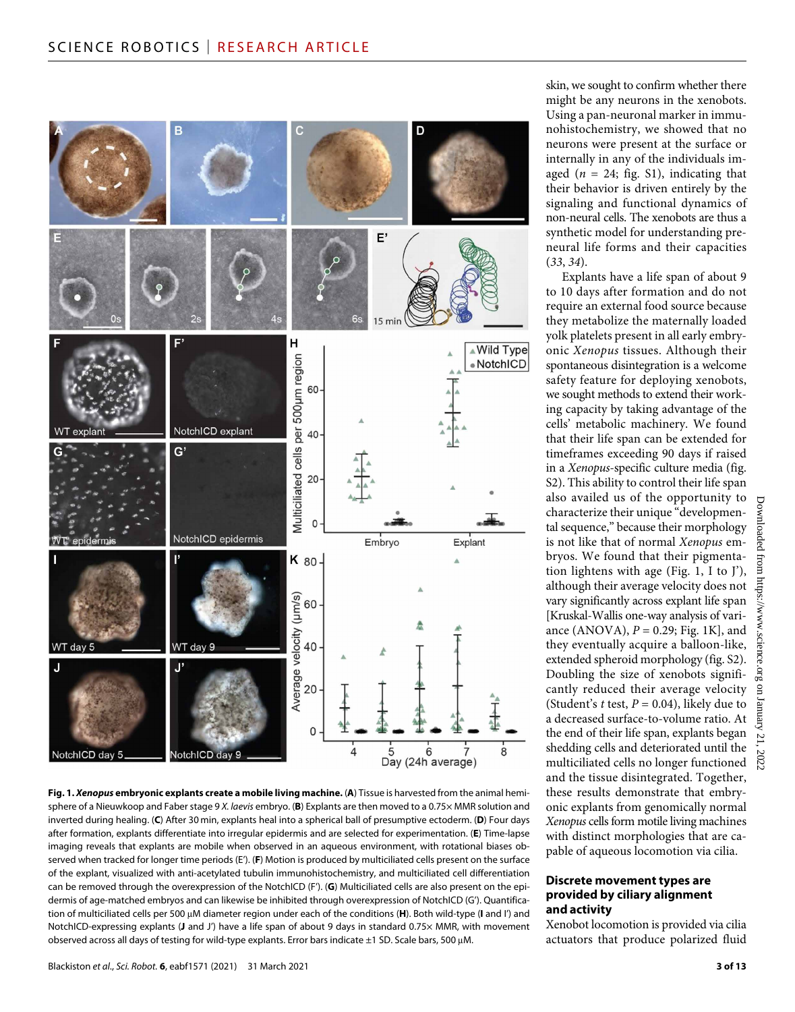

**Fig. 1.** *Xenopus* **embryonic explants create a mobile living machine.** (**A**) Tissue is harvested from the animal hemisphere of a Nieuwkoop and Faber stage 9 *X. laevis* embryo. (**B**) Explants are then moved to a 0.75× MMR solution and inverted during healing. (**C**) After 30 min, explants heal into a spherical ball of presumptive ectoderm. (**D**) Four days after formation, explants differentiate into irregular epidermis and are selected for experimentation. (**E**) Time-lapse imaging reveals that explants are mobile when observed in an aqueous environment, with rotational biases observed when tracked for longer time periods (E'). (**F**) Motion is produced by multiciliated cells present on the surface of the explant, visualized with anti-acetylated tubulin immunohistochemistry, and multiciliated cell differentiation can be removed through the overexpression of the NotchICD (F'). (**G**) Multiciliated cells are also present on the epidermis of age-matched embryos and can likewise be inhibited through overexpression of NotchICD (G'). Quantification of multiciliated cells per 500 µM diameter region under each of the conditions (H). Both wild-type (I and I') and NotchICD-expressing explants (**J** and J') have a life span of about 9 days in standard 0.75× MMR, with movement observed across all days of testing for wild-type explants. Error bars indicate  $\pm 1$  SD. Scale bars, 500 µM.

skin, we sought to confirm whether there might be any neurons in the xenobots. Using a pan-neuronal marker in immunohistochemistry, we showed that no neurons were present at the surface or internally in any of the individuals imaged  $(n = 24;$  fig. S1), indicating that their behavior is driven entirely by the signaling and functional dynamics of non-neural cells. The xenobots are thus a synthetic model for understanding preneural life forms and their capacities (*33*, *34*).

Explants have a life span of about 9 to 10 days after formation and do not require an external food source because they metabolize the maternally loaded yolk platelets present in all early embryonic *Xenopus* tissues. Although their spontaneous disintegration is a welcome safety feature for deploying xenobots, we sought methods to extend their working capacity by taking advantage of the cells' metabolic machinery. We found that their life span can be extended for timeframes exceeding 90 days if raised in a *Xenopus*-specific culture media (fig. S2). This ability to control their life span also availed us of the opportunity to characterize their unique "developmental sequence," because their morphology is not like that of normal *Xenopus* embryos. We found that their pigmentation lightens with age (Fig. 1, I to J'), although their average velocity does not vary significantly across explant life span [Kruskal-Wallis one-way analysis of variance (ANOVA), *P* = 0.29; Fig. 1K], and they eventually acquire a balloon-like, extended spheroid morphology (fig. S2). Doubling the size of xenobots significantly reduced their average velocity (Student's *t* test,  $P = 0.04$ ), likely due to a decreased surface-to-volume ratio. At the end of their life span, explants began shedding cells and deteriorated until the multiciliated cells no longer functioned and the tissue disintegrated. Together, these results demonstrate that embryonic explants from genomically normal *Xenopus* cells form motile living machines with distinct morphologies that are capable of aqueous locomotion via cilia.

#### **Discrete movement types are provided by ciliary alignment and activity**

Xenobot locomotion is provided via cilia actuators that produce polarized fluid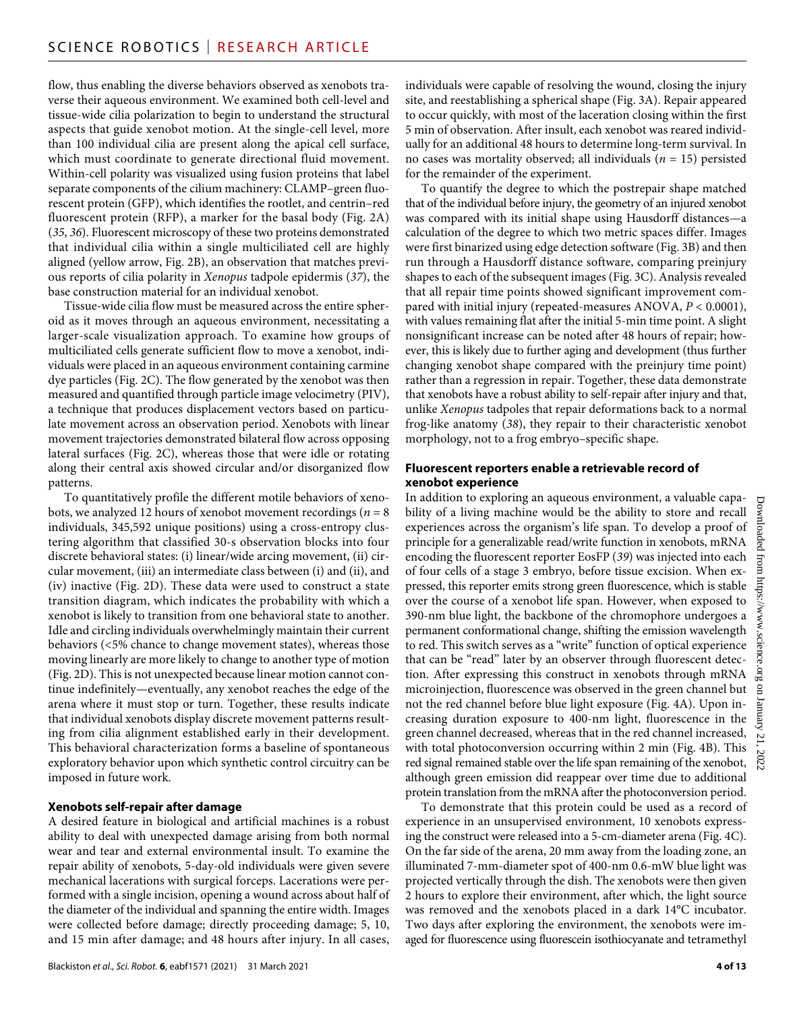flow, thus enabling the diverse behaviors observed as xenobots traverse their aqueous environment. We examined both cell-level and tissue-wide cilia polarization to begin to understand the structural aspects that guide xenobot motion. At the single-cell level, more than 100 individual cilia are present along the apical cell surface, which must coordinate to generate directional fluid movement. Within-cell polarity was visualized using fusion proteins that label separate components of the cilium machinery: CLAMP–green fluorescent protein (GFP), which identifies the rootlet, and centrin–red fluorescent protein (RFP), a marker for the basal body (Fig. 2A) (*35*, *36*). Fluorescent microscopy of these two proteins demonstrated that individual cilia within a single multiciliated cell are highly aligned (yellow arrow, Fig. 2B), an observation that matches previous reports of cilia polarity in *Xenopus* tadpole epidermis (*37*), the base construction material for an individual xenobot.

Tissue-wide cilia flow must be measured across the entire spheroid as it moves through an aqueous environment, necessitating a larger-scale visualization approach. To examine how groups of multiciliated cells generate sufficient flow to move a xenobot, individuals were placed in an aqueous environment containing carmine dye particles (Fig. 2C). The flow generated by the xenobot was then measured and quantified through particle image velocimetry (PIV), a technique that produces displacement vectors based on particulate movement across an observation period. Xenobots with linear movement trajectories demonstrated bilateral flow across opposing lateral surfaces (Fig. 2C), whereas those that were idle or rotating along their central axis showed circular and/or disorganized flow patterns.

To quantitatively profile the different motile behaviors of xenobots, we analyzed 12 hours of xenobot movement recordings (*n* = 8 individuals, 345,592 unique positions) using a cross-entropy clustering algorithm that classified 30-s observation blocks into four discrete behavioral states: (i) linear/wide arcing movement, (ii) circular movement, (iii) an intermediate class between (i) and (ii), and (iv) inactive (Fig. 2D). These data were used to construct a state transition diagram, which indicates the probability with which a xenobot is likely to transition from one behavioral state to another. Idle and circling individuals overwhelmingly maintain their current behaviors (<5% chance to change movement states), whereas those moving linearly are more likely to change to another type of motion (Fig. 2D). This is not unexpected because linear motion cannot continue indefinitely—eventually, any xenobot reaches the edge of the arena where it must stop or turn. Together, these results indicate that individual xenobots display discrete movement patterns resulting from cilia alignment established early in their development. This behavioral characterization forms a baseline of spontaneous exploratory behavior upon which synthetic control circuitry can be imposed in future work.

#### **Xenobots self-repair after damage**

A desired feature in biological and artificial machines is a robust ability to deal with unexpected damage arising from both normal wear and tear and external environmental insult. To examine the repair ability of xenobots, 5-day-old individuals were given severe mechanical lacerations with surgical forceps. Lacerations were performed with a single incision, opening a wound across about half of the diameter of the individual and spanning the entire width. Images were collected before damage; directly proceeding damage; 5, 10, and 15 min after damage; and 48 hours after injury. In all cases,

individuals were capable of resolving the wound, closing the injury site, and reestablishing a spherical shape (Fig. 3A). Repair appeared to occur quickly, with most of the laceration closing within the first 5 min of observation. After insult, each xenobot was reared individually for an additional 48 hours to determine long-term survival. In no cases was mortality observed; all individuals  $(n = 15)$  persisted for the remainder of the experiment.

To quantify the degree to which the postrepair shape matched that of the individual before injury, the geometry of an injured xenobot was compared with its initial shape using Hausdorff distances—a calculation of the degree to which two metric spaces differ. Images were first binarized using edge detection software (Fig. 3B) and then run through a Hausdorff distance software, comparing preinjury shapes to each of the subsequent images (Fig. 3C). Analysis revealed that all repair time points showed significant improvement compared with initial injury (repeated-measures ANOVA, *P* < 0.0001), with values remaining flat after the initial 5-min time point. A slight nonsignificant increase can be noted after 48 hours of repair; however, this is likely due to further aging and development (thus further changing xenobot shape compared with the preinjury time point) rather than a regression in repair. Together, these data demonstrate that xenobots have a robust ability to self-repair after injury and that, unlike *Xenopus* tadpoles that repair deformations back to a normal frog-like anatomy (*38*), they repair to their characteristic xenobot morphology, not to a frog embryo–specific shape.

#### **Fluorescent reporters enable a retrievable record of xenobot experience**

In addition to exploring an aqueous environment, a valuable capability of a living machine would be the ability to store and recall experiences across the organism's life span. To develop a proof of principle for a generalizable read/write function in xenobots, mRNA encoding the fluorescent reporter EosFP (*39*) was injected into each of four cells of a stage 3 embryo, before tissue excision. When expressed, this reporter emits strong green fluorescence, which is stable over the course of a xenobot life span. However, when exposed to 390-nm blue light, the backbone of the chromophore undergoes a permanent conformational change, shifting the emission wavelength to red. This switch serves as a "write" function of optical experience that can be "read" later by an observer through fluorescent detection. After expressing this construct in xenobots through mRNA microinjection, fluorescence was observed in the green channel but not the red channel before blue light exposure (Fig. 4A). Upon increasing duration exposure to 400-nm light, fluorescence in the green channel decreased, whereas that in the red channel increased, with total photoconversion occurring within 2 min (Fig. 4B). This red signal remained stable over the life span remaining of the xenobot, although green emission did reappear over time due to additional protein translation from the mRNA after the photoconversion period.

To demonstrate that this protein could be used as a record of experience in an unsupervised environment, 10 xenobots expressing the construct were released into a 5-cm-diameter arena (Fig. 4C). On the far side of the arena, 20 mm away from the loading zone, an illuminated 7-mm-diameter spot of 400-nm 0.6-mW blue light was projected vertically through the dish. The xenobots were then given 2 hours to explore their environment, after which, the light source was removed and the xenobots placed in a dark 14°C incubator. Two days after exploring the environment, the xenobots were imaged for fluorescence using fluorescein isothiocyanate and tetramethyl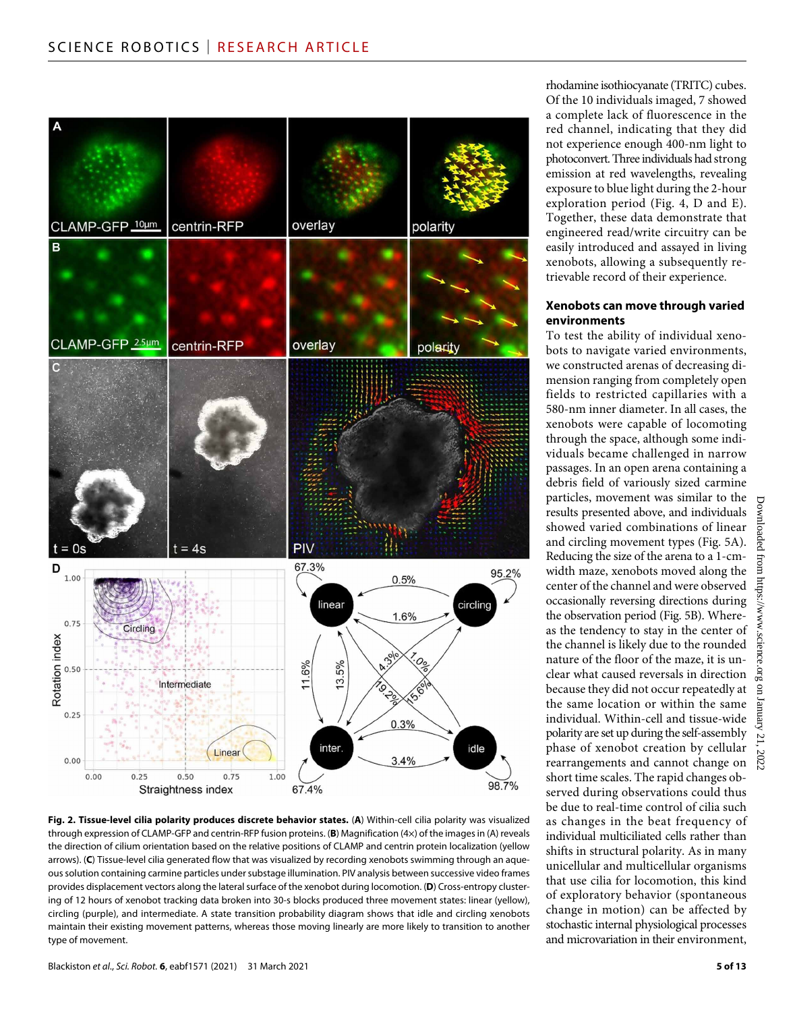

**Fig. 2. Tissue-level cilia polarity produces discrete behavior states.** (**A**) Within-cell cilia polarity was visualized through expression of CLAMP-GFP and centrin-RFP fusion proteins. (**B**) Magnification (4×) of the images in (A) reveals the direction of cilium orientation based on the relative positions of CLAMP and centrin protein localization (yellow arrows). (**C**) Tissue-level cilia generated flow that was visualized by recording xenobots swimming through an aqueous solution containing carmine particles under substage illumination. PIV analysis between successive video frames provides displacement vectors along the lateral surface of the xenobot during locomotion. (**D**) Cross-entropy clustering of 12 hours of xenobot tracking data broken into 30-s blocks produced three movement states: linear (yellow), circling (purple), and intermediate. A state transition probability diagram shows that idle and circling xenobots maintain their existing movement patterns, whereas those moving linearly are more likely to transition to another type of movement.

rhodamine isothiocyanate (TRITC) cubes. Of the 10 individuals imaged, 7 showed a complete lack of fluorescence in the red channel, indicating that they did not experience enough 400-nm light to photoconvert. Three individuals had strong emission at red wavelengths, revealing exposure to blue light during the 2-hour exploration period (Fig. 4, D and E). Together, these data demonstrate that engineered read/write circuitry can be easily introduced and assayed in living xenobots, allowing a subsequently retrievable record of their experience.

#### **Xenobots can move through varied environments**

To test the ability of individual xenobots to navigate varied environments, we constructed arenas of decreasing dimension ranging from completely open fields to restricted capillaries with a 580-nm inner diameter. In all cases, the xenobots were capable of locomoting through the space, although some individuals became challenged in narrow passages. In an open arena containing a debris field of variously sized carmine particles, movement was similar to the results presented above, and individuals showed varied combinations of linear and circling movement types (Fig. 5A). Reducing the size of the arena to a 1-cmwidth maze, xenobots moved along the center of the channel and were observed occasionally reversing directions during the observation period (Fig. 5B). Whereas the tendency to stay in the center of the channel is likely due to the rounded nature of the floor of the maze, it is unclear what caused reversals in direction because they did not occur repeatedly at the same location or within the same individual. Within-cell and tissue-wide polarity are set up during the self-assembly phase of xenobot creation by cellular rearrangements and cannot change on short time scales. The rapid changes observed during observations could thus be due to real-time control of cilia such as changes in the beat frequency of individual multiciliated cells rather than shifts in structural polarity. As in many unicellular and multicellular organisms that use cilia for locomotion, this kind of exploratory behavior (spontaneous change in motion) can be affected by stochastic internal physiological processes and microvariation in their environment,

Downloaded from https://www.science.org on January 21, 2022

 $\mathbf{u}$ 

January 21,

. 2022

Downloaded from https://www.science.org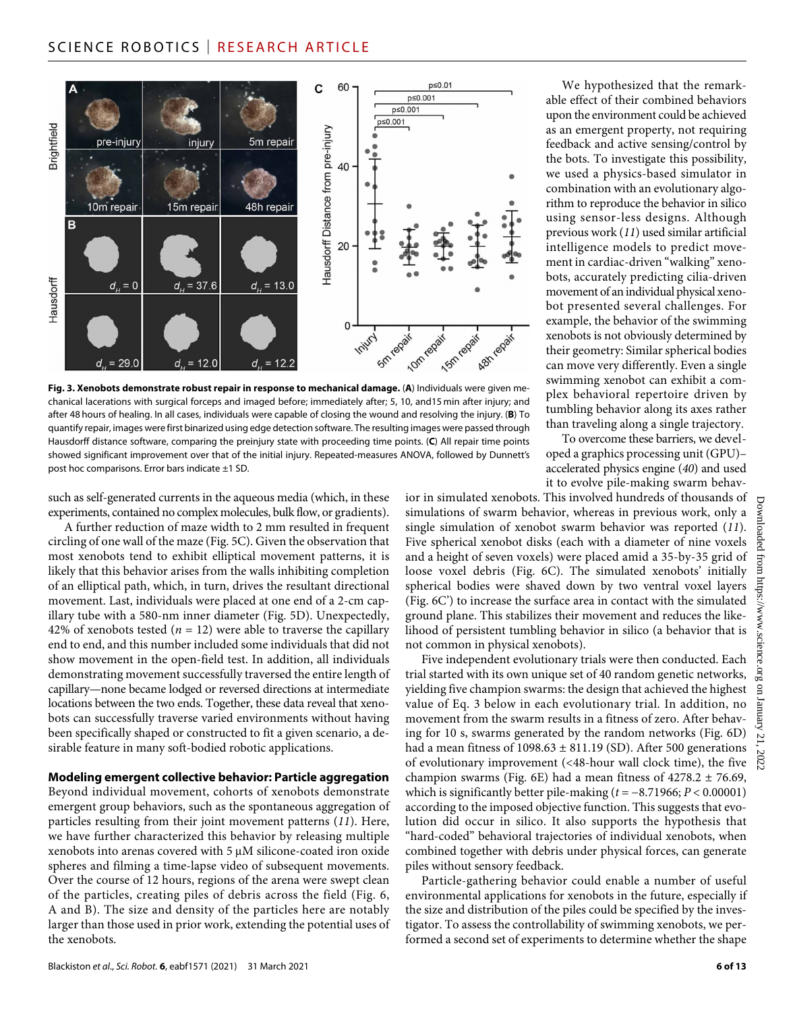

**Fig. 3. Xenobots demonstrate robust repair in response to mechanical damage.** (**A**) Individuals were given mechanical lacerations with surgical forceps and imaged before; immediately after; 5, 10, and15 min after injury; and after 48 hours of healing. In all cases, individuals were capable of closing the wound and resolving the injury. (**B**) To quantify repair, images were first binarized using edge detection software. The resulting images were passed through Hausdorff distance software, comparing the preinjury state with proceeding time points. (**C**) All repair time points showed significant improvement over that of the initial injury. Repeated-measures ANOVA, followed by Dunnett's post hoc comparisons. Error bars indicate ±1 SD.

such as self-generated currents in the aqueous media (which, in these experiments, contained no complex molecules, bulk flow, or gradients).

A further reduction of maze width to 2 mm resulted in frequent circling of one wall of the maze (Fig. 5C). Given the observation that most xenobots tend to exhibit elliptical movement patterns, it is likely that this behavior arises from the walls inhibiting completion of an elliptical path, which, in turn, drives the resultant directional movement. Last, individuals were placed at one end of a 2-cm capillary tube with a 580-nm inner diameter (Fig. 5D). Unexpectedly, 42% of xenobots tested  $(n = 12)$  were able to traverse the capillary end to end, and this number included some individuals that did not show movement in the open-field test. In addition, all individuals demonstrating movement successfully traversed the entire length of capillary—none became lodged or reversed directions at intermediate locations between the two ends. Together, these data reveal that xenobots can successfully traverse varied environments without having been specifically shaped or constructed to fit a given scenario, a desirable feature in many soft-bodied robotic applications.

#### **Modeling emergent collective behavior: Particle aggregation**

Beyond individual movement, cohorts of xenobots demonstrate emergent group behaviors, such as the spontaneous aggregation of particles resulting from their joint movement patterns (*11*). Here, we have further characterized this behavior by releasing multiple xenobots into arenas covered with 5  $\mu$ M silicone-coated iron oxide spheres and filming a time-lapse video of subsequent movements. Over the course of 12 hours, regions of the arena were swept clean of the particles, creating piles of debris across the field (Fig. 6, A and B). The size and density of the particles here are notably larger than those used in prior work, extending the potential uses of the xenobots.

We hypothesized that the remarkable effect of their combined behaviors upon the environment could be achieved as an emergent property, not requiring feedback and active sensing/control by the bots. To investigate this possibility, we used a physics-based simulator in combination with an evolutionary algorithm to reproduce the behavior in silico using sensor-less designs. Although previous work (*11*) used similar artificial intelligence models to predict movement in cardiac-driven "walking" xenobots, accurately predicting cilia-driven movement of an individual physical xenobot presented several challenges. For example, the behavior of the swimming xenobots is not obviously determined by their geometry: Similar spherical bodies can move very differently. Even a single swimming xenobot can exhibit a complex behavioral repertoire driven by tumbling behavior along its axes rather than traveling along a single trajectory.

To overcome these barriers, we developed a graphics processing unit (GPU)– accelerated physics engine (*40*) and used it to evolve pile-making swarm behav-

ior in simulated xenobots. This involved hundreds of thousands of simulations of swarm behavior, whereas in previous work, only a single simulation of xenobot swarm behavior was reported (*11*). Five spherical xenobot disks (each with a diameter of nine voxels and a height of seven voxels) were placed amid a 35-by-35 grid of loose voxel debris (Fig. 6C). The simulated xenobots' initially spherical bodies were shaved down by two ventral voxel layers (Fig. 6C') to increase the surface area in contact with the simulated ground plane. This stabilizes their movement and reduces the likelihood of persistent tumbling behavior in silico (a behavior that is not common in physical xenobots).

Five independent evolutionary trials were then conducted. Each trial started with its own unique set of 40 random genetic networks, yielding five champion swarms: the design that achieved the highest value of Eq. 3 below in each evolutionary trial. In addition, no movement from the swarm results in a fitness of zero. After behaving for 10 s, swarms generated by the random networks (Fig. 6D) had a mean fitness of  $1098.63 \pm 811.19$  (SD). After 500 generations of evolutionary improvement (<48-hour wall clock time), the five champion swarms (Fig. 6E) had a mean fitness of  $4278.2 \pm 76.69$ , which is significantly better pile-making (*t* = −8.71966; *P* < 0.00001) according to the imposed objective function. This suggests that evolution did occur in silico. It also supports the hypothesis that "hard-coded" behavioral trajectories of individual xenobots, when combined together with debris under physical forces, can generate piles without sensory feedback.

Particle-gathering behavior could enable a number of useful environmental applications for xenobots in the future, especially if the size and distribution of the piles could be specified by the investigator. To assess the controllability of swimming xenobots, we performed a second set of experiments to determine whether the shape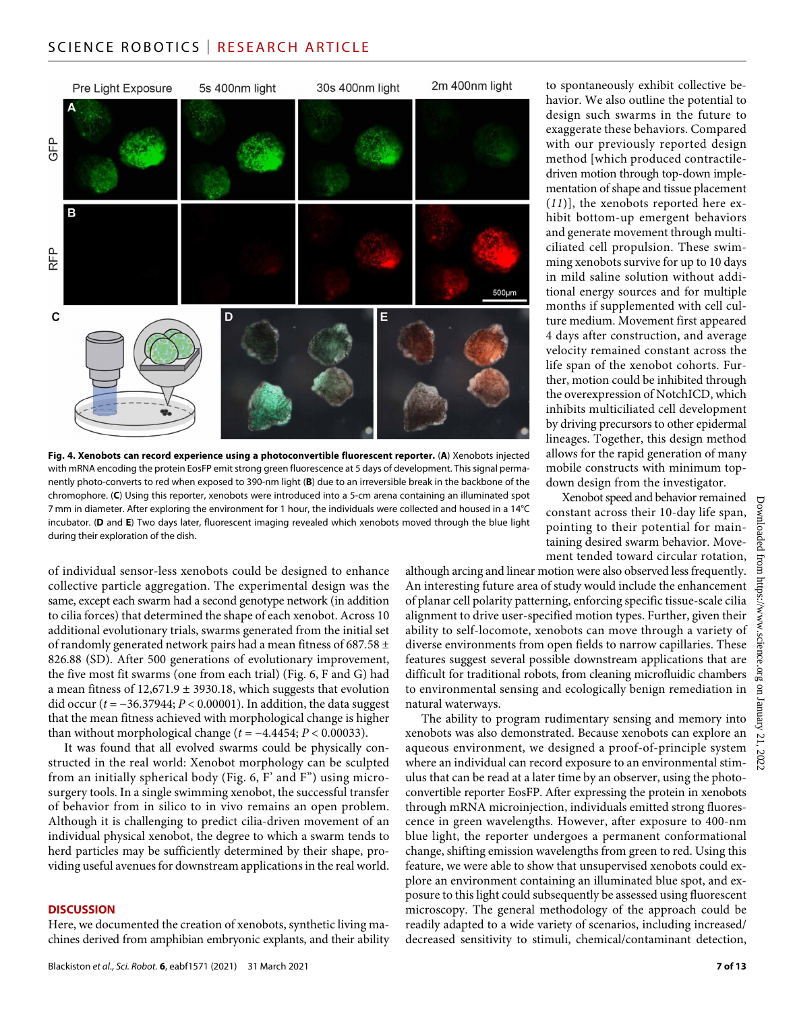### SCIENCE ROBOTICS | RESEARCH ARTICLE



**Fig. 4. Xenobots can record experience using a photoconvertible fluorescent reporter.** (**A**) Xenobots injected with mRNA encoding the protein EosFP emit strong green fluorescence at 5 days of development. This signal permanently photo-converts to red when exposed to 390-nm light (**B**) due to an irreversible break in the backbone of the chromophore. (**C**) Using this reporter, xenobots were introduced into a 5-cm arena containing an illuminated spot 7 mm in diameter. After exploring the environment for 1 hour, the individuals were collected and housed in a 14°C incubator. (**D** and **E**) Two days later, fluorescent imaging revealed which xenobots moved through the blue light during their exploration of the dish.

of individual sensor-less xenobots could be designed to enhance collective particle aggregation. The experimental design was the same, except each swarm had a second genotype network (in addition to cilia forces) that determined the shape of each xenobot. Across 10 additional evolutionary trials, swarms generated from the initial set of randomly generated network pairs had a mean fitness of 687.58 ± 826.88 (SD). After 500 generations of evolutionary improvement, the five most fit swarms (one from each trial) (Fig. 6, F and G) had a mean fitness of 12,671.9 ± 3930.18, which suggests that evolution did occur (*t* = −36.37944; *P* < 0.00001). In addition, the data suggest that the mean fitness achieved with morphological change is higher than without morphological change ( $t = -4.4454$ ;  $P < 0.00033$ ).

It was found that all evolved swarms could be physically constructed in the real world: Xenobot morphology can be sculpted from an initially spherical body (Fig. 6, F' and F") using microsurgery tools. In a single swimming xenobot, the successful transfer of behavior from in silico to in vivo remains an open problem. Although it is challenging to predict cilia-driven movement of an individual physical xenobot, the degree to which a swarm tends to herd particles may be sufficiently determined by their shape, providing useful avenues for downstream applications in the real world.

#### **DISCUSSION**

Here, we documented the creation of xenobots, synthetic living machines derived from amphibian embryonic explants, and their ability to spontaneously exhibit collective behavior. We also outline the potential to design such swarms in the future to exaggerate these behaviors. Compared with our previously reported design method [which produced contractiledriven motion through top-down implementation of shape and tissue placement (*11*)], the xenobots reported here exhibit bottom-up emergent behaviors and generate movement through multiciliated cell propulsion. These swimming xenobots survive for up to 10 days in mild saline solution without additional energy sources and for multiple months if supplemented with cell culture medium. Movement first appeared 4 days after construction, and average velocity remained constant across the life span of the xenobot cohorts. Further, motion could be inhibited through the overexpression of NotchICD, which inhibits multiciliated cell development by driving precursors to other epidermal lineages. Together, this design method allows for the rapid generation of many mobile constructs with minimum topdown design from the investigator.

Xenobot speed and behavior remained constant across their 10-day life span, pointing to their potential for maintaining desired swarm behavior. Movement tended toward circular rotation,

although arcing and linear motion were also observed less frequently. An interesting future area of study would include the enhancement of planar cell polarity patterning, enforcing specific tissue-scale cilia alignment to drive user-specified motion types. Further, given their ability to self-locomote, xenobots can move through a variety of diverse environments from open fields to narrow capillaries. These features suggest several possible downstream applications that are difficult for traditional robots, from cleaning microfluidic chambers to environmental sensing and ecologically benign remediation in natural waterways.

The ability to program rudimentary sensing and memory into xenobots was also demonstrated. Because xenobots can explore an aqueous environment, we designed a proof-of-principle system where an individual can record exposure to an environmental stimulus that can be read at a later time by an observer, using the photoconvertible reporter EosFP. After expressing the protein in xenobots through mRNA microinjection, individuals emitted strong fluorescence in green wavelengths. However, after exposure to 400-nm blue light, the reporter undergoes a permanent conformational change, shifting emission wavelengths from green to red. Using this feature, we were able to show that unsupervised xenobots could explore an environment containing an illuminated blue spot, and exposure to this light could subsequently be assessed using fluorescent microscopy. The general methodology of the approach could be readily adapted to a wide variety of scenarios, including increased/ decreased sensitivity to stimuli, chemical/contaminant detection,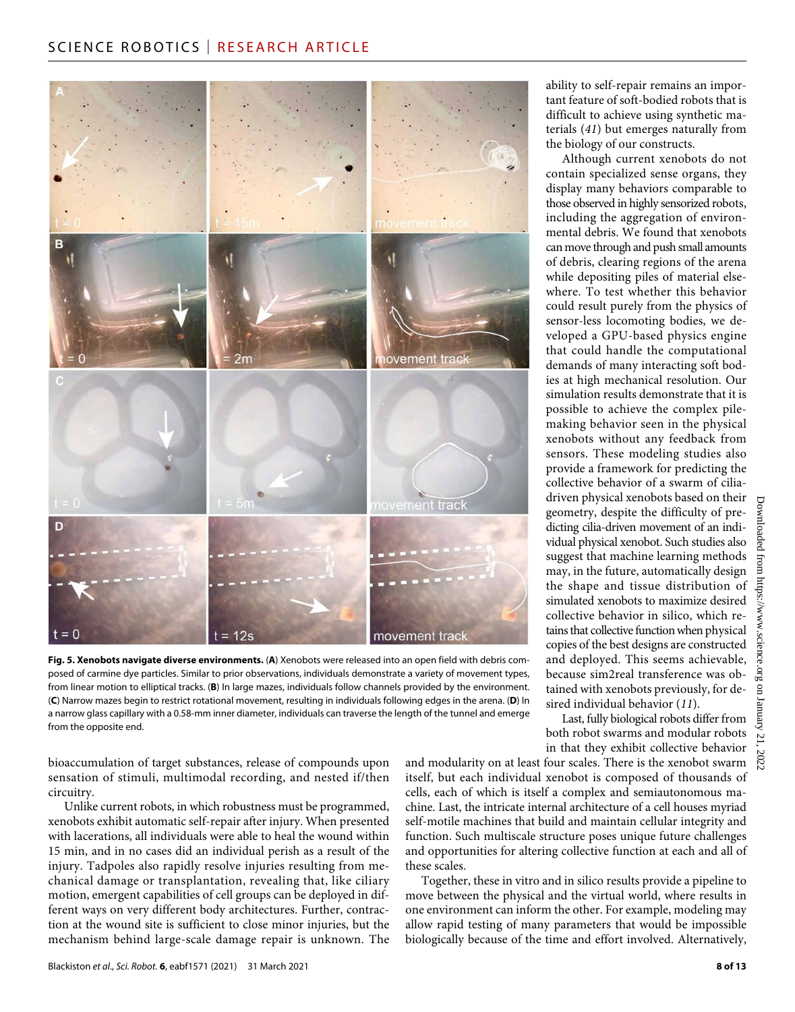# SCIENCE ROBOTICS | RESEARCH ARTICLE



**Fig. 5. Xenobots navigate diverse environments.** (**A**) Xenobots were released into an open field with debris composed of carmine dye particles. Similar to prior observations, individuals demonstrate a variety of movement types, from linear motion to elliptical tracks. (**B**) In large mazes, individuals follow channels provided by the environment. (**C**) Narrow mazes begin to restrict rotational movement, resulting in individuals following edges in the arena. (**D**) In a narrow glass capillary with a 0.58-mm inner diameter, individuals can traverse the length of the tunnel and emerge from the opposite end.

bioaccumulation of target substances, release of compounds upon sensation of stimuli, multimodal recording, and nested if/then circuitry.

Unlike current robots, in which robustness must be programmed, xenobots exhibit automatic self-repair after injury. When presented with lacerations, all individuals were able to heal the wound within 15 min, and in no cases did an individual perish as a result of the injury. Tadpoles also rapidly resolve injuries resulting from mechanical damage or transplantation, revealing that, like ciliary motion, emergent capabilities of cell groups can be deployed in different ways on very different body architectures. Further, contraction at the wound site is sufficient to close minor injuries, but the mechanism behind large-scale damage repair is unknown. The

ability to self-repair remains an important feature of soft-bodied robots that is difficult to achieve using synthetic materials (*41*) but emerges naturally from the biology of our constructs.

Although current xenobots do not contain specialized sense organs, they display many behaviors comparable to those observed in highly sensorized robots, including the aggregation of environmental debris. We found that xenobots can move through and push small amounts of debris, clearing regions of the arena while depositing piles of material elsewhere. To test whether this behavior could result purely from the physics of sensor-less locomoting bodies, we developed a GPU-based physics engine that could handle the computational demands of many interacting soft bodies at high mechanical resolution. Our simulation results demonstrate that it is possible to achieve the complex pilemaking behavior seen in the physical xenobots without any feedback from sensors. These modeling studies also provide a framework for predicting the collective behavior of a swarm of ciliadriven physical xenobots based on their geometry, despite the difficulty of predicting cilia-driven movement of an individual physical xenobot. Such studies also suggest that machine learning methods may, in the future, automatically design the shape and tissue distribution of simulated xenobots to maximize desired collective behavior in silico, which retains that collective function when physical copies of the best designs are constructed and deployed. This seems achievable, because sim2real transference was obtained with xenobots previously, for desired individual behavior (*11*).

Last, fully biological robots differ from both robot swarms and modular robots in that they exhibit collective behavior

and modularity on at least four scales. There is the xenobot swarm itself, but each individual xenobot is composed of thousands of cells, each of which is itself a complex and semiautonomous machine. Last, the intricate internal architecture of a cell houses myriad self-motile machines that build and maintain cellular integrity and function. Such multiscale structure poses unique future challenges and opportunities for altering collective function at each and all of these scales.

Together, these in vitro and in silico results provide a pipeline to move between the physical and the virtual world, where results in one environment can inform the other. For example, modeling may allow rapid testing of many parameters that would be impossible biologically because of the time and effort involved. Alternatively,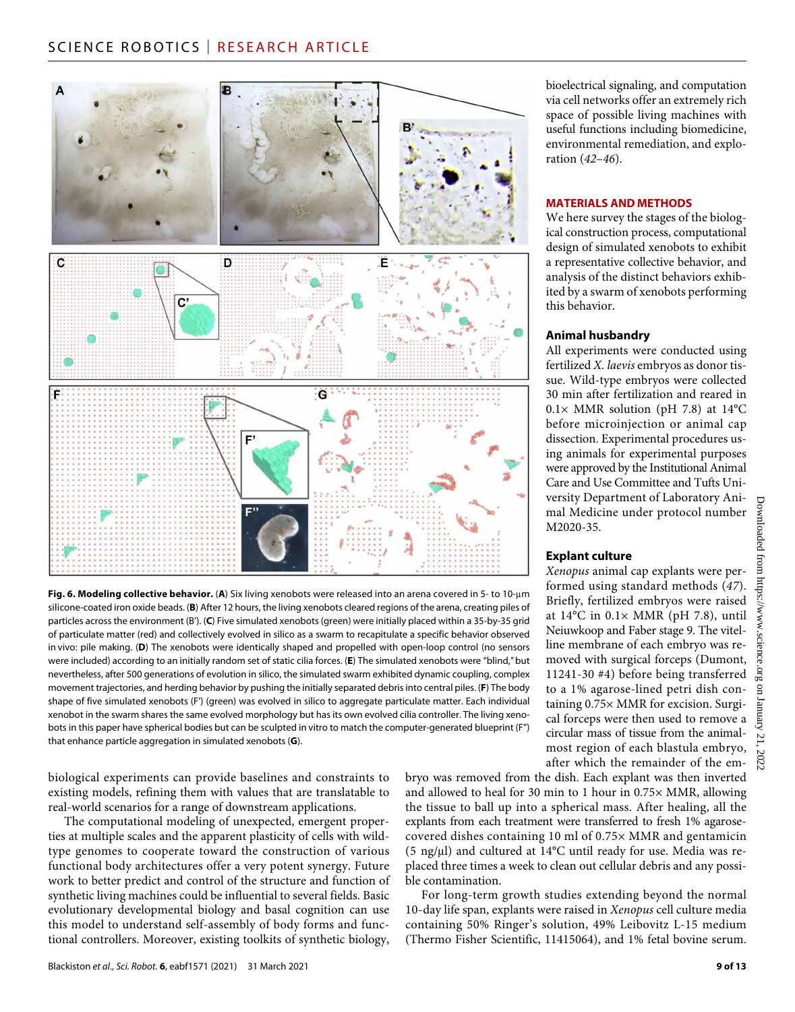

**Fig. 6. Modeling collective behavior.** (**A**) Six living xenobots were released into an arena covered in 5- to 10-m silicone-coated iron oxide beads. (**B**) After 12 hours, the living xenobots cleared regions of the arena, creating piles of particles across the environment (B'). (**C**) Five simulated xenobots (green) were initially placed within a 35-by-35 grid of particulate matter (red) and collectively evolved in silico as a swarm to recapitulate a specific behavior observed in vivo: pile making. (**D**) The xenobots were identically shaped and propelled with open-loop control (no sensors were included) according to an initially random set of static cilia forces. (**E**) The simulated xenobots were "blind," but nevertheless, after 500 generations of evolution in silico, the simulated swarm exhibited dynamic coupling, complex movement trajectories, and herding behavior by pushing the initially separated debris into central piles. (**F**) The body shape of five simulated xenobots (F') (green) was evolved in silico to aggregate particulate matter. Each individual xenobot in the swarm shares the same evolved morphology but has its own evolved cilia controller. The living xenobots in this paper have spherical bodies but can be sculpted in vitro to match the computer-generated blueprint (F") that enhance particle aggregation in simulated xenobots (**G**).

biological experiments can provide baselines and constraints to existing models, refining them with values that are translatable to real-world scenarios for a range of downstream applications.

The computational modeling of unexpected, emergent properties at multiple scales and the apparent plasticity of cells with wildtype genomes to cooperate toward the construction of various functional body architectures offer a very potent synergy. Future work to better predict and control of the structure and function of synthetic living machines could be influential to several fields. Basic evolutionary developmental biology and basal cognition can use this model to understand self-assembly of body forms and functional controllers. Moreover, existing toolkits of synthetic biology,

bioelectrical signaling, and computation via cell networks offer an extremely rich space of possible living machines with useful functions including biomedicine, environmental remediation, and exploration (*42*–*46*).

#### **MATERIALS AND METHODS**

We here survey the stages of the biological construction process, computational design of simulated xenobots to exhibit a representative collective behavior, and analysis of the distinct behaviors exhibited by a swarm of xenobots performing this behavior.

#### **Animal husbandry**

All experiments were conducted using fertilized *X. laevis* embryos as donor tissue. Wild-type embryos were collected 30 min after fertilization and reared in  $0.1\times$  MMR solution (pH 7.8) at 14°C before microinjection or animal cap dissection. Experimental procedures using animals for experimental purposes were approved by the Institutional Animal<br>Care and Use Committee and Tufts Uni-Care and Use Committee and Tufts University Department of Laboratory Animal Medicine under protocol number M2020-35.

#### **Explant culture**

*Xenopus* animal cap explants were performed using standard methods (*47*). Briefly, fertilized embryos were raised at 14°C in 0.1× MMR (pH 7.8), until Neiuwkoop and Faber stage 9. The vitelline membrane of each embryo was removed with surgical forceps (Dumont, 11241-30 #4) before being transferred to a 1% agarose-lined petri dish containing 0.75× MMR for excision. Surgical forceps were then used to remove a circular mass of tissue from the animalmost region of each blastula embryo, after which the remainder of the em-

bryo was removed from the dish. Each explant was then inverted and allowed to heal for 30 min to 1 hour in 0.75× MMR, allowing the tissue to ball up into a spherical mass. After healing, all the explants from each treatment were transferred to fresh 1% agarosecovered dishes containing 10 ml of 0.75× MMR and gentamicin (5 ng/ $\mu$ l) and cultured at 14°C until ready for use. Media was replaced three times a week to clean out cellular debris and any possible contamination.

For long-term growth studies extending beyond the normal 10-day life span, explants were raised in *Xenopus* cell culture media containing 50% Ringer's solution, 49% Leibovitz L-15 medium (Thermo Fisher Scientific, 11415064), and 1% fetal bovine serum.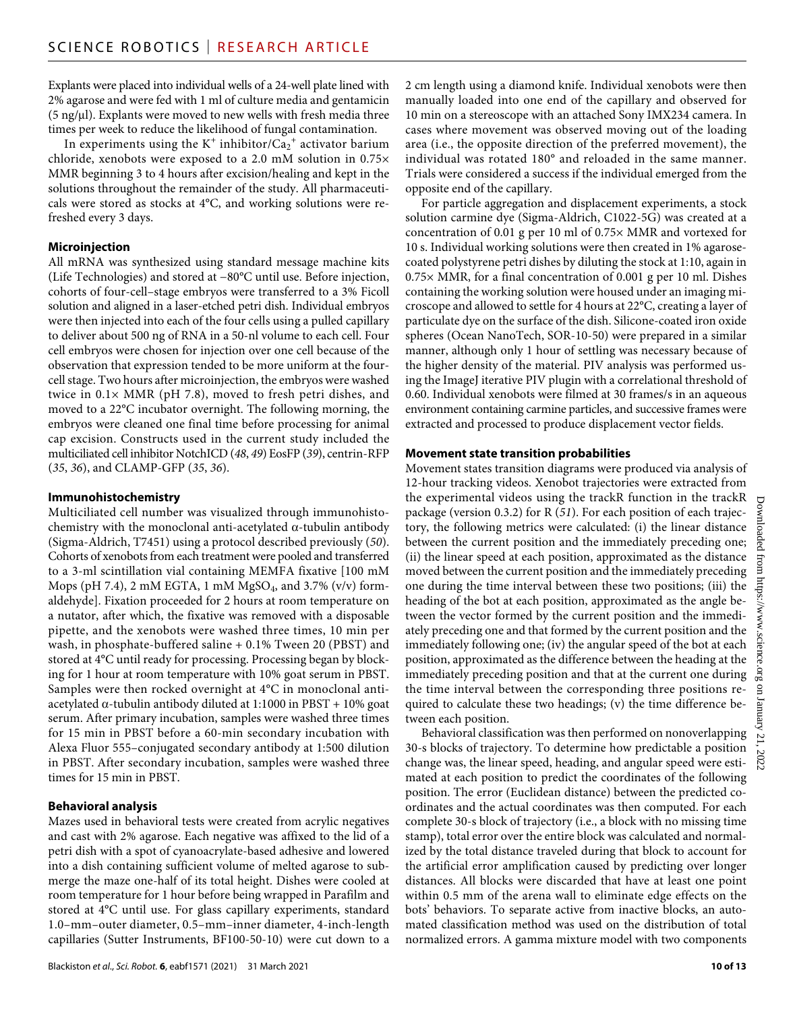Explants were placed into individual wells of a 24-well plate lined with 2% agarose and were fed with 1 ml of culture media and gentamicin  $(5 \text{ ng/µl})$ . Explants were moved to new wells with fresh media three times per week to reduce the likelihood of fungal contamination.

In experiments using the  $K^+$  inhibitor/ $Ca_2^+$  activator barium chloride, xenobots were exposed to a 2.0 mM solution in 0.75× MMR beginning 3 to 4 hours after excision/healing and kept in the solutions throughout the remainder of the study. All pharmaceuticals were stored as stocks at 4°C, and working solutions were refreshed every 3 days.

#### **Microinjection**

All mRNA was synthesized using standard message machine kits (Life Technologies) and stored at −80°C until use. Before injection, cohorts of four-cell–stage embryos were transferred to a 3% Ficoll solution and aligned in a laser-etched petri dish. Individual embryos were then injected into each of the four cells using a pulled capillary to deliver about 500 ng of RNA in a 50-nl volume to each cell. Four cell embryos were chosen for injection over one cell because of the observation that expression tended to be more uniform at the fourcell stage. Two hours after microinjection, the embryos were washed twice in 0.1× MMR (pH 7.8), moved to fresh petri dishes, and moved to a 22°C incubator overnight. The following morning, the embryos were cleaned one final time before processing for animal cap excision. Constructs used in the current study included the multiciliated cell inhibitor NotchICD (*48*, *49*) EosFP (*39*), centrin-RFP (*35*, *36*), and CLAMP-GFP (*35*, *36*).

#### **Immunohistochemistry**

Multiciliated cell number was visualized through immunohistochemistry with the monoclonal anti-acetylated  $\alpha$ -tubulin antibody (Sigma-Aldrich, T7451) using a protocol described previously (*50*). Cohorts of xenobots from each treatment were pooled and transferred to a 3-ml scintillation vial containing MEMFA fixative [100 mM Mops (pH 7.4), 2 mM EGTA, 1 mM MgSO<sub>4</sub>, and 3.7% (v/v) formaldehyde]. Fixation proceeded for 2 hours at room temperature on a nutator, after which, the fixative was removed with a disposable pipette, and the xenobots were washed three times, 10 min per wash, in phosphate-buffered saline + 0.1% Tween 20 (PBST) and stored at 4°C until ready for processing. Processing began by blocking for 1 hour at room temperature with 10% goat serum in PBST. Samples were then rocked overnight at 4°C in monoclonal antiacetylated  $\alpha$ -tubulin antibody diluted at 1:1000 in PBST + 10% goat serum. After primary incubation, samples were washed three times for 15 min in PBST before a 60-min secondary incubation with Alexa Fluor 555–conjugated secondary antibody at 1:500 dilution in PBST. After secondary incubation, samples were washed three times for 15 min in PBST.

#### **Behavioral analysis**

Mazes used in behavioral tests were created from acrylic negatives and cast with 2% agarose. Each negative was affixed to the lid of a petri dish with a spot of cyanoacrylate-based adhesive and lowered into a dish containing sufficient volume of melted agarose to submerge the maze one-half of its total height. Dishes were cooled at room temperature for 1 hour before being wrapped in Parafilm and stored at 4°C until use. For glass capillary experiments, standard 1.0–mm–outer diameter, 0.5–mm–inner diameter, 4-inch-length capillaries (Sutter Instruments, BF100-50-10) were cut down to a

2 cm length using a diamond knife. Individual xenobots were then manually loaded into one end of the capillary and observed for 10 min on a stereoscope with an attached Sony IMX234 camera. In cases where movement was observed moving out of the loading area (i.e., the opposite direction of the preferred movement), the individual was rotated 180° and reloaded in the same manner. Trials were considered a success if the individual emerged from the opposite end of the capillary.

For particle aggregation and displacement experiments, a stock solution carmine dye (Sigma-Aldrich, C1022-5G) was created at a concentration of 0.01 g per 10 ml of 0.75× MMR and vortexed for 10 s. Individual working solutions were then created in 1% agarosecoated polystyrene petri dishes by diluting the stock at 1:10, again in 0.75× MMR, for a final concentration of 0.001 g per 10 ml. Dishes containing the working solution were housed under an imaging microscope and allowed to settle for 4 hours at 22°C, creating a layer of particulate dye on the surface of the dish. Silicone-coated iron oxide spheres (Ocean NanoTech, SOR-10-50) were prepared in a similar manner, although only 1 hour of settling was necessary because of the higher density of the material. PIV analysis was performed using the ImageJ iterative PIV plugin with a correlational threshold of 0.60. Individual xenobots were filmed at 30 frames/s in an aqueous environment containing carmine particles, and successive frames were extracted and processed to produce displacement vector fields.

#### **Movement state transition probabilities**

Movement states transition diagrams were produced via analysis of 12-hour tracking videos. Xenobot trajectories were extracted from the experimental videos using the trackR function in the trackR package (version 0.3.2) for R (*51*). For each position of each trajectory, the following metrics were calculated: (i) the linear distance between the current position and the immediately preceding one; (ii) the linear speed at each position, approximated as the distance moved between the current position and the immediately preceding one during the time interval between these two positions; (iii) the heading of the bot at each position, approximated as the angle between the vector formed by the current position and the immediately preceding one and that formed by the current position and the immediately following one; (iv) the angular speed of the bot at each position, approximated as the difference between the heading at the immediately preceding position and that at the current one during the time interval between the corresponding three positions required to calculate these two headings; (v) the time difference between each position.

Behavioral classification was then performed on nonoverlapping 30-s blocks of trajectory. To determine how predictable a position change was, the linear speed, heading, and angular speed were estimated at each position to predict the coordinates of the following position. The error (Euclidean distance) between the predicted coordinates and the actual coordinates was then computed. For each complete 30-s block of trajectory (i.e., a block with no missing time stamp), total error over the entire block was calculated and normalized by the total distance traveled during that block to account for the artificial error amplification caused by predicting over longer distances. All blocks were discarded that have at least one point within 0.5 mm of the arena wall to eliminate edge effects on the bots' behaviors. To separate active from inactive blocks, an automated classification method was used on the distribution of total normalized errors. A gamma mixture model with two components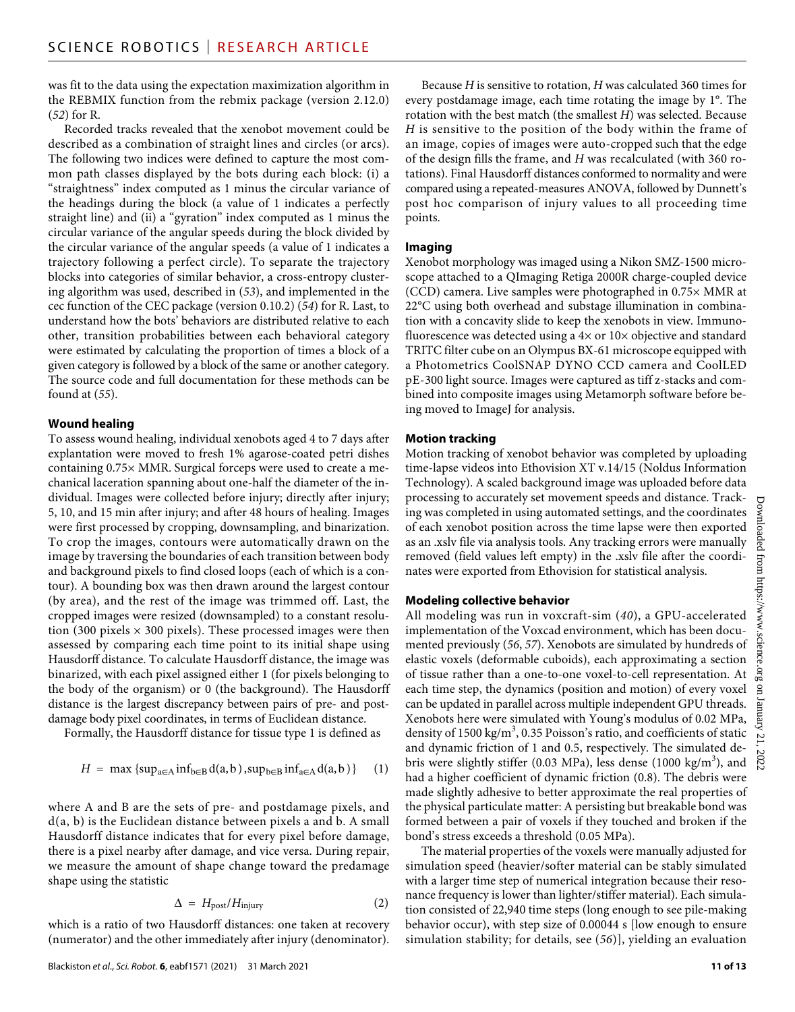was fit to the data using the expectation maximization algorithm in the REBMIX function from the rebmix package (version 2.12.0) (*52*) for R.

Recorded tracks revealed that the xenobot movement could be described as a combination of straight lines and circles (or arcs). The following two indices were defined to capture the most common path classes displayed by the bots during each block: (i) a "straightness" index computed as 1 minus the circular variance of the headings during the block (a value of 1 indicates a perfectly straight line) and (ii) a "gyration" index computed as 1 minus the circular variance of the angular speeds during the block divided by the circular variance of the angular speeds (a value of 1 indicates a trajectory following a perfect circle). To separate the trajectory blocks into categories of similar behavior, a cross-entropy clustering algorithm was used, described in (*53*), and implemented in the cec function of the CEC package (version 0.10.2) (*54*) for R. Last, to understand how the bots' behaviors are distributed relative to each other, transition probabilities between each behavioral category were estimated by calculating the proportion of times a block of a given category is followed by a block of the same or another category. The source code and full documentation for these methods can be found at (*55*).

#### **Wound healing**

To assess wound healing, individual xenobots aged 4 to 7 days after explantation were moved to fresh 1% agarose-coated petri dishes containing 0.75× MMR. Surgical forceps were used to create a mechanical laceration spanning about one-half the diameter of the individual. Images were collected before injury; directly after injury; 5, 10, and 15 min after injury; and after 48 hours of healing. Images were first processed by cropping, downsampling, and binarization. To crop the images, contours were automatically drawn on the image by traversing the boundaries of each transition between body and background pixels to find closed loops (each of which is a contour). A bounding box was then drawn around the largest contour (by area), and the rest of the image was trimmed off. Last, the cropped images were resized (downsampled) to a constant resolution (300 pixels  $\times$  300 pixels). These processed images were then assessed by comparing each time point to its initial shape using Hausdorff distance. To calculate Hausdorff distance, the image was binarized, with each pixel assigned either 1 (for pixels belonging to the body of the organism) or 0 (the background). The Hausdorff distance is the largest discrepancy between pairs of pre- and postdamage body pixel coordinates, in terms of Euclidean distance.

Formally, the Hausdorff distance for tissue type 1 is defined as

$$
H = \max \left\{ \sup_{a \in A} \inf_{b \in B} d(a, b), \sup_{b \in B} \inf_{a \in A} d(a, b) \right\} \quad (1)
$$

where A and B are the sets of pre- and postdamage pixels, and d(a, b) is the Euclidean distance between pixels a and b. A small Hausdorff distance indicates that for every pixel before damage, there is a pixel nearby after damage, and vice versa. During repair, we measure the amount of shape change toward the predamage shape using the statistic

$$
\Delta = H_{\text{post}}/H_{\text{injury}} \tag{2}
$$

which is a ratio of two Hausdorff distances: one taken at recovery (numerator) and the other immediately after injury (denominator).

Because *H* is sensitive to rotation, *H* was calculated 360 times for every postdamage image, each time rotating the image by 1°. The rotation with the best match (the smallest *H*) was selected. Because *H* is sensitive to the position of the body within the frame of an image, copies of images were auto-cropped such that the edge of the design fills the frame, and *H* was recalculated (with 360 rotations). Final Hausdorff distances conformed to normality and were compared using a repeated-measures ANOVA, followed by Dunnett's post hoc comparison of injury values to all proceeding time points.

#### **Imaging**

Xenobot morphology was imaged using a Nikon SMZ-1500 microscope attached to a QImaging Retiga 2000R charge-coupled device (CCD) camera. Live samples were photographed in 0.75× MMR at 22°C using both overhead and substage illumination in combination with a concavity slide to keep the xenobots in view. Immunofluorescence was detected using a 4× or 10× objective and standard TRITC filter cube on an Olympus BX-61 microscope equipped with a Photometrics CoolSNAP DYNO CCD camera and CoolLED pE-300 light source. Images were captured as tiff z-stacks and combined into composite images using Metamorph software before being moved to ImageJ for analysis.

#### **Motion tracking**

Motion tracking of xenobot behavior was completed by uploading time-lapse videos into Ethovision XT v.14/15 (Noldus Information Technology). A scaled background image was uploaded before data processing to accurately set movement speeds and distance. Tracking was completed in using automated settings, and the coordinates of each xenobot position across the time lapse were then exported as an .xslv file via analysis tools. Any tracking errors were manually removed (field values left empty) in the .xslv file after the coordinates were exported from Ethovision for statistical analysis.

#### **Modeling collective behavior**

All modeling was run in voxcraft-sim (*40*), a GPU-accelerated implementation of the Voxcad environment, which has been documented previously (*56*, *57*). Xenobots are simulated by hundreds of elastic voxels (deformable cuboids), each approximating a section of tissue rather than a one-to-one voxel-to-cell representation. At each time step, the dynamics (position and motion) of every voxel can be updated in parallel across multiple independent GPU threads. Xenobots here were simulated with Young's modulus of 0.02 MPa, density of 1500 kg/m<sup>3</sup>, 0.35 Poisson's ratio, and coefficients of static and dynamic friction of 1 and 0.5, respectively. The simulated debris were slightly stiffer (0.03 MPa), less dense (1000 kg/m<sup>3</sup>), and had a higher coefficient of dynamic friction (0.8). The debris were made slightly adhesive to better approximate the real properties of the physical particulate matter: A persisting but breakable bond was formed between a pair of voxels if they touched and broken if the bond's stress exceeds a threshold (0.05 MPa).

The material properties of the voxels were manually adjusted for simulation speed (heavier/softer material can be stably simulated with a larger time step of numerical integration because their resonance frequency is lower than lighter/stiffer material). Each simulation consisted of 22,940 time steps (long enough to see pile-making behavior occur), with step size of 0.00044 s [low enough to ensure simulation stability; for details, see (*56*)], yielding an evaluation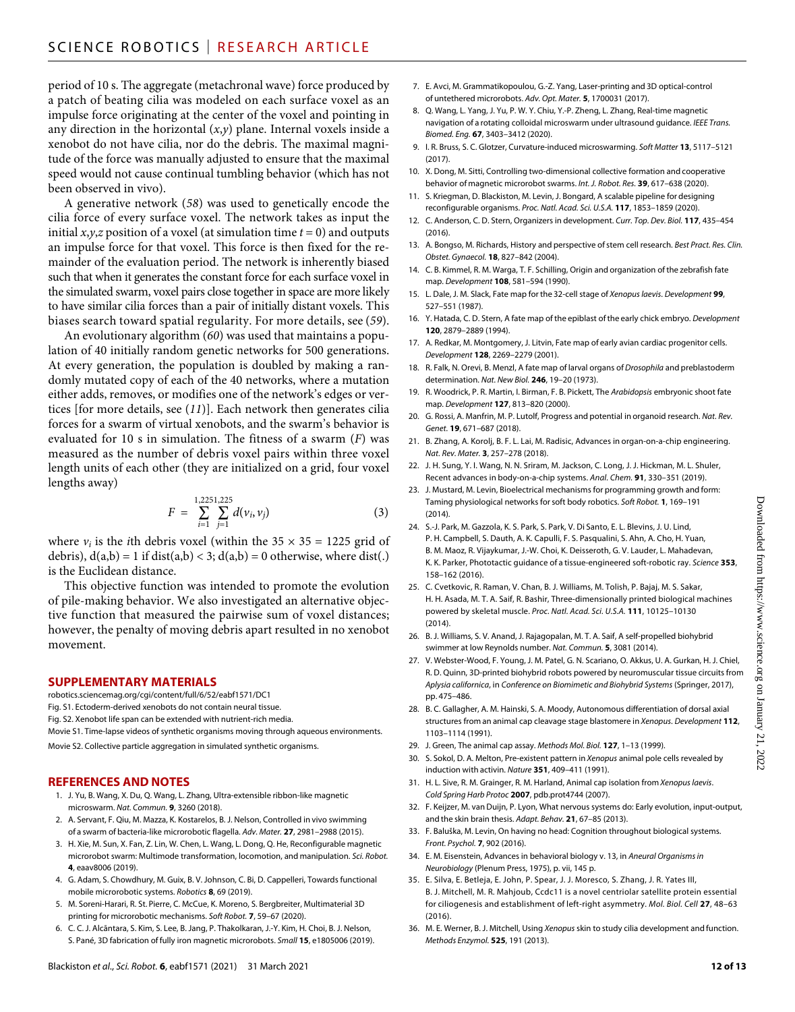period of 10 s. The aggregate (metachronal wave) force produced by a patch of beating cilia was modeled on each surface voxel as an impulse force originating at the center of the voxel and pointing in any direction in the horizontal  $(x, y)$  plane. Internal voxels inside a xenobot do not have cilia, nor do the debris. The maximal magnitude of the force was manually adjusted to ensure that the maximal speed would not cause continual tumbling behavior (which has not been observed in vivo).

A generative network (*58*) was used to genetically encode the cilia force of every surface voxel. The network takes as input the initial  $x, y, z$  position of a voxel (at simulation time  $t = 0$ ) and outputs an impulse force for that voxel. This force is then fixed for the remainder of the evaluation period. The network is inherently biased such that when it generates the constant force for each surface voxel in the simulated swarm, voxel pairs close together in space are more likely to have similar cilia forces than a pair of initially distant voxels. This biases search toward spatial regularity. For more details, see (*59*).

An evolutionary algorithm (*60*) was used that maintains a population of 40 initially random genetic networks for 500 generations. At every generation, the population is doubled by making a randomly mutated copy of each of the 40 networks, where a mutation either adds, removes, or modifies one of the network's edges or vertices [for more details, see (*11*)]. Each network then generates cilia forces for a swarm of virtual xenobots, and the swarm's behavior is evaluated for 10 s in simulation. The fitness of a swarm (*F*) was measured as the number of debris voxel pairs within three voxel length units of each other (they are initialized on a grid, four voxel lengths away)

$$
F = \sum_{i=1}^{1,2251,225} d(\nu_i, \nu_j)
$$
 (3)

where  $v_i$  is the *i*th debris voxel (within the  $35 \times 35 = 1225$  grid of debris),  $d(a,b) = 1$  if  $dist(a,b) < 3$ ;  $d(a,b) = 0$  otherwise, where dist(.) is the Euclidean distance.

This objective function was intended to promote the evolution of pile-making behavior. We also investigated an alternative objective function that measured the pairwise sum of voxel distances; however, the penalty of moving debris apart resulted in no xenobot movement.

#### **SUPPLEMENTARY MATERIALS**

[robotics.sciencemag.org/cgi/content/full/6/52/eabf1571/DC1](http://robotics.sciencemag.org/cgi/content/full/6/52/eabf1571/DC1)

- Fig. S1. Ectoderm-derived xenobots do not contain neural tissue.
- Fig. S2. Xenobot life span can be extended with nutrient-rich media.
- Movie S1. Time-lapse videos of synthetic organisms moving through aqueous environments.

Movie S2. Collective particle aggregation in simulated synthetic organisms.

#### **REFERENCES AND NOTES**

- 1. J. Yu, B. Wang, X. Du, Q. Wang, L. Zhang, Ultra-extensible ribbon-like magnetic microswarm. *Nat. Commun.* **9**, 3260 (2018).
- 2. A. Servant, F. Qiu, M. Mazza, K. Kostarelos, B. J. Nelson, Controlled in vivo swimming of a swarm of bacteria-like microrobotic flagella. *Adv. Mater.* **27**, 2981–2988 (2015).
- 3. H. Xie, M. Sun, X. Fan, Z. Lin, W. Chen, L. Wang, L. Dong, Q. He, Reconfigurable magnetic microrobot swarm: Multimode transformation, locomotion, and manipulation. *Sci. Robot.* **4**, eaav8006 (2019).
- 4. G. Adam, S. Chowdhury, M. Guix, B. V. Johnson, C. Bi, D. Cappelleri, Towards functional mobile microrobotic systems. *Robotics* **8**, 69 (2019).
- 5. M. Soreni-Harari, R. St. Pierre, C. McCue, K. Moreno, S. Bergbreiter, Multimaterial 3D printing for microrobotic mechanisms. *Soft Robot.* **7**, 59–67 (2020).
- 6. C. C. J. Alcãntara, S. Kim, S. Lee, B. Jang, P. Thakolkaran, J.-Y. Kim, H. Choi, B. J. Nelson, S. Pané, 3D fabrication of fully iron magnetic microrobots. *Small* **15**, e1805006 (2019).
- 7. E. Avci, M. Grammatikopoulou, G.-Z. Yang, Laser-printing and 3D optical-control of untethered microrobots. *Adv. Opt. Mater.* **5**, 1700031 (2017).
- 8. Q. Wang, L. Yang, J. Yu, P. W. Y. Chiu, Y.-P. Zheng, L. Zhang, Real-time magnetic navigation of a rotating colloidal microswarm under ultrasound guidance. *IEEE Trans. Biomed. Eng.* **67**, 3403–3412 (2020).
- 9. I. R. Bruss, S. C. Glotzer, Curvature-induced microswarming. *Soft Matter* **13**, 5117–5121 (2017).
- 10. X. Dong, M. Sitti, Controlling two-dimensional collective formation and cooperative behavior of magnetic microrobot swarms. *Int. J. Robot. Res.* **39**, 617–638 (2020).
- 11. S. Kriegman, D. Blackiston, M. Levin, J. Bongard, A scalable pipeline for designing reconfigurable organisms. *Proc. Natl. Acad. Sci. U.S.A.* **117**, 1853–1859 (2020).
- 12. C. Anderson, C. D. Stern, Organizers in development. *Curr. Top. Dev. Biol.* **117**, 435–454 (2016).
- 13. A. Bongso, M. Richards, History and perspective of stem cell research. *Best Pract. Res. Clin. Obstet. Gynaecol.* **18**, 827–842 (2004).
- 14. C. B. Kimmel, R. M. Warga, T. F. Schilling, Origin and organization of the zebrafish fate map. *Development* **108**, 581–594 (1990).
- 15. L. Dale, J. M. Slack, Fate map for the 32-cell stage of *Xenopus laevis*. *Development* **99**, 527–551 (1987).
- 16. Y. Hatada, C. D. Stern, A fate map of the epiblast of the early chick embryo. *Development* **120**, 2879–2889 (1994).
- 17. A. Redkar, M. Montgomery, J. Litvin, Fate map of early avian cardiac progenitor cells. *Development* **128**, 2269–2279 (2001).
- 18. R. Falk, N. Orevi, B. Menzl, A fate map of larval organs of *Drosophila* and preblastoderm determination. *Nat. New Biol.* **246**, 19–20 (1973).
- 19. R. Woodrick, P. R. Martin, I. Birman, F. B. Pickett, The *Arabidopsis* embryonic shoot fate map. *Development* **127**, 813–820 (2000).
- 20. G. Rossi, A. Manfrin, M. P. Lutolf, Progress and potential in organoid research. *Nat. Rev. Genet.* **19**, 671–687 (2018).
- 21. B. Zhang, A. Korolj, B. F. L. Lai, M. Radisic, Advances in organ-on-a-chip engineering. *Nat. Rev. Mater.* **3**, 257–278 (2018).
- 22. J. H. Sung, Y. I. Wang, N. N. Sriram, M. Jackson, C. Long, J. J. Hickman, M. L. Shuler, Recent advances in body-on-a-chip systems. *Anal. Chem.* **91**, 330–351 (2019).
- 23. J. Mustard, M. Levin, Bioelectrical mechanisms for programming growth and form: Taming physiological networks forsoft body robotics. *Soft Robot.* **1**, 169–191  $(2014)$
- 24. S.-J. Park, M. Gazzola, K. S. Park, S. Park, V. Di Santo, E. L. Blevins, J. U. Lind, P. H. Campbell, S. Dauth, A. K. Capulli, F. S. Pasqualini, S. Ahn, A. Cho, H. Yuan, B. M. Maoz, R. Vijaykumar, J.-W. Choi, K. Deisseroth, G. V. Lauder, L. Mahadevan, K. K. Parker, Phototactic guidance of a tissue-engineered soft-robotic ray. *Science* **353**, 158–162 (2016).
- 25. C. Cvetkovic, R. Raman, V. Chan, B. J. Williams, M. Tolish, P. Bajaj, M. S. Sakar, H. H. Asada, M. T. A. Saif, R. Bashir, Three-dimensionally printed biological machines powered by skeletal muscle. *Proc. Natl. Acad. Sci. U.S.A.* **111**, 10125–10130 (2014).
- 26. B. J. Williams, S. V. Anand, J. Rajagopalan, M. T. A. Saif, A self-propelled biohybrid swimmer at low Reynolds number. *Nat. Commun.* **5**, 3081 (2014).
- 27. V. Webster-Wood, F. Young, J. M. Patel, G. N. Scariano, O. Akkus, U. A. Gurkan, H. J. Chiel, R. D. Quinn, 3D-printed biohybrid robots powered by neuromuscular tissue circuits from *Aplysia californica*, in *Conference on Biomimetic and Biohybrid Systems* (Springer, 2017), pp. 475–486.
- 28. B. C. Gallagher, A. M. Hainski, S. A. Moody, Autonomous differentiation of dorsal axial structures from an animal cap cleavage stage blastomere in *Xenopus*. *Development* **112**, 1103–1114 (1991).
- 29. J. Green, The animal cap assay. *Methods Mol. Biol.* **127**, 1–13 (1999).
- 30. S. Sokol, D. A. Melton, Pre-existent pattern in *Xenopus* animal pole cells revealed by induction with activin. *Nature* **351**, 409–411 (1991).
- 31. H. L. Sive, R. M. Grainger, R. M. Harland, Animal cap isolation from *Xenopus laevis*. *Cold Spring Harb Protoc* **2007**, pdb.prot4744 (2007).
- 32. F. Keijzer, M. van Duijn, P. Lyon, What nervous systems do: Early evolution, input-output, and the skin brain thesis. *Adapt. Behav.* **21**, 67–85 (2013).
- 33. F. Baluška, M. Levin, On having no head: Cognition throughout biological systems. *Front. Psychol.* **7**, 902 (2016).
- 34. E. M. Eisenstein, Advances in behavioral biology v. 13, in *Aneural Organisms in Neurobiology* (Plenum Press, 1975), p. vii, 145 p.
- 35. E. Silva, E. Betleja, E. John, P. Spear, J. J. Moresco, S. Zhang, J. R. Yates III, B. J. Mitchell, M. R. Mahjoub, Ccdc11 is a novel centriolar satellite protein essential for ciliogenesis and establishment of left-right asymmetry. *Mol. Biol. Cell* **27**, 48–63 (2016).
- 36. M. E. Werner, B. J. Mitchell, Using *Xenopus* skin to study cilia development and function. *Methods Enzymol.* **525**, 191 (2013).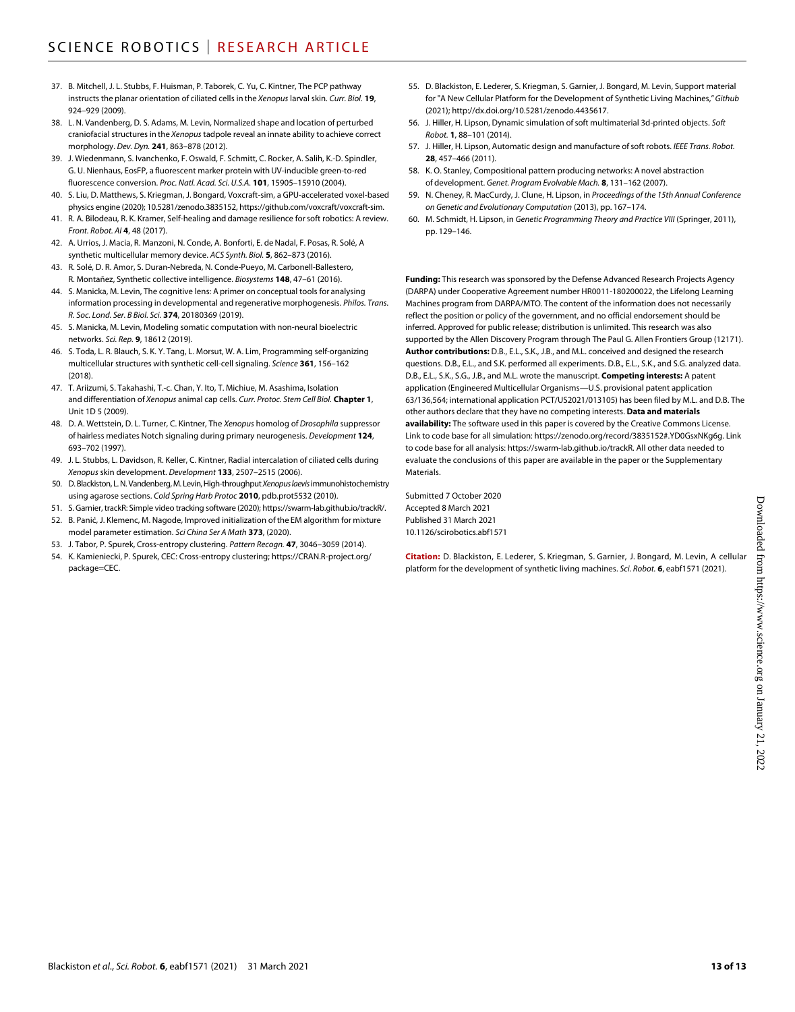- 37. B. Mitchell, J. L. Stubbs, F. Huisman, P. Taborek, C. Yu, C. Kintner, The PCP pathway instructs the planar orientation of ciliated cells in the *Xenopus* larval skin. *Curr. Biol.* **19**, 924–929 (2009).
- 38. L. N. Vandenberg, D. S. Adams, M. Levin, Normalized shape and location of perturbed craniofacial structures in the *Xenopus* tadpole reveal an innate ability to achieve correct morphology. *Dev. Dyn.* **241**, 863–878 (2012).
- 39. J. Wiedenmann, S. Ivanchenko, F. Oswald, F. Schmitt, C. Rocker, A. Salih, K.-D. Spindler, G. U. Nienhaus, EosFP, a fluorescent marker protein with UV-inducible green-to-red fluorescence conversion. *Proc. Natl. Acad. Sci. U.S.A.* **101**, 15905–15910 (2004).
- 40. S. Liu, D. Matthews, S. Kriegman, J. Bongard, Voxcraft-sim, a GPU-accelerated voxel-based physics engine (2020); [10.5281/zenodo.3835152](http://dx.doi.org/10.5281/zenodo.3835152),<https://github.com/voxcraft/voxcraft-sim>.
- 41. R. A. Bilodeau, R. K. Kramer, Self-healing and damage resilience forsoft robotics: A review. *Front. Robot. AI* **4**, 48 (2017).
- 42. A. Urrios, J. Macia, R. Manzoni, N. Conde, A. Bonforti, E. de Nadal, F. Posas, R. Solé, A synthetic multicellular memory device. *ACS Synth. Biol.* **5**, 862–873 (2016).
- 43. R. Solé, D. R. Amor, S. Duran-Nebreda, N. Conde-Pueyo, M. Carbonell-Ballestero, R. Montañez, Synthetic collective intelligence. *Biosystems* **148**, 47–61 (2016).
- 44. S. Manicka, M. Levin, The cognitive lens: A primer on conceptual tools for analysing information processing in developmental and regenerative morphogenesis. *Philos. Trans. R. Soc. Lond. Ser. B Biol. Sci.* **374**, 20180369 (2019).
- 45. S. Manicka, M. Levin, Modeling somatic computation with non-neural bioelectric networks. *Sci. Rep.* **9**, 18612 (2019).
- 46. S. Toda, L. R. Blauch, S. K. Y. Tang, L. Morsut, W. A. Lim, Programming self-organizing multicellular structures with synthetic cell-cell signaling. *Science* **361**, 156–162 (2018).
- 47. T. Ariizumi, S. Takahashi, T.-c. Chan, Y. Ito, T. Michiue, M. Asashima, Isolation and differentiation of *Xenopus* animal cap cells. *Curr. Protoc. Stem Cell Biol.* **Chapter 1**, Unit 1D 5 (2009).
- 48. D. A. Wettstein, D. L. Turner, C. Kintner, The *Xenopus* homolog of *Drosophila* suppressor of hairless mediates Notch signaling during primary neurogenesis. *Development* **124**, 693–702 (1997).
- 49. J. L. Stubbs, L. Davidson, R. Keller, C. Kintner, Radial intercalation of ciliated cells during *Xenopus* skin development. *Development* **133**, 2507–2515 (2006).
- 50. D.Blackiston, L.N.Vandenberg, M. Levin, High-throughput *Xenopus laevis* immunohistochemistry using agarose sections. *Cold Spring Harb Protoc* **2010**, pdb.prot5532 (2010).
- 51. S. Garnier, trackR: Simple video tracking software (2020);<https://swarm-lab.github.io/trackR/>.
- 52. B. Panić, J. Klemenc, M. Nagode, Improved initialization of the EM algorithm for mixture model parameter estimation. *Sci China Ser A Math* **373**, (2020).
- 53. J. Tabor, P. Spurek, Cross-entropy clustering. *Pattern Recogn.* **47**, 3046–3059 (2014).
- 54. K. Kamieniecki, P. Spurek, CEC: Cross-entropy clustering; [https://CRAN.R-project.org/](https://CRAN.R-project.org/package=CEC) [package=CEC](https://CRAN.R-project.org/package=CEC).
- 55. D. Blackiston, E. Lederer, S. Kriegman, S. Garnier, J. Bongard, M. Levin, Support material for "A New Cellular Platform for the Development of Synthetic Living Machines," *Github* (2021); [http://dx.doi.org/10.5281/zenodo.4435617.](http://dx.doi.org/10.5281/zenodo.4435617)
- 56. J. Hiller, H. Lipson, Dynamic simulation ofsoft multimaterial 3d-printed objects. *Soft Robot.* **1**, 88–101 (2014).
- 57. J. Hiller, H. Lipson, Automatic design and manufacture ofsoft robots. *IEEE Trans. Robot.* **28**, 457–466 (2011).
- 58. K. O. Stanley, Compositional pattern producing networks: A novel abstraction of development. *Genet. Program Evolvable Mach.* **8**, 131–162 (2007).
- 59. N. Cheney, R. MacCurdy, J. Clune, H. Lipson, in *Proceedings of the 15th Annual Conference on Genetic and Evolutionary Computation* (2013), pp. 167–174.
- 60. M. Schmidt, H. Lipson, in *Genetic Programming Theory and Practice VIII* (Springer, 2011), pp. 129–146.

**Funding:** This research was sponsored by the Defense Advanced Research Projects Agency (DARPA) under Cooperative Agreement number HR0011-180200022, the Lifelong Learning Machines program from DARPA/MTO. The content of the information does not necessarily reflect the position or policy of the government, and no official endorsement should be inferred. Approved for public release; distribution is unlimited. This research was also supported by the Allen Discovery Program through The Paul G. Allen Frontiers Group (12171). **Author contributions:** D.B., E.L., S.K., J.B., and M.L. conceived and designed the research questions. D.B., E.L., and S.K. performed all experiments. D.B., E.L., S.K., and S.G. analyzed data. D.B., E.L., S.K., S.G., J.B., and M.L. wrote the manuscript. **Competing interests:** A patent application (Engineered Multicellular Organisms—U.S. provisional patent application 63/136,564; international application PCT/US2021/013105) has been filed by M.L. and D.B. The other authors declare that they have no competing interests. **Data and materials availability:** The software used in this paper is covered by the Creative Commons License. Link to code base for all simulation: [https://zenodo.org/record/3835152#.YD0GsxNKg6g.](https://zenodo.org/record/3835152#.YD0GsxNKg6g) Link to code base for all analysis: [https://swarm-lab.github.io/trackR.](https://swarm-lab.github.io/trackR) All other data needed to evaluate the conclusions of this paper are available in the paper or the Supplementary **Materials** 

Submitted 7 October 2020 Accepted 8 March 2021 Published 31 March 2021 10.1126/scirobotics.abf1571

**Citation:** D. Blackiston, E. Lederer, S. Kriegman, S. Garnier, J. Bongard, M. Levin, A cellular platform for the development of synthetic living machines. *Sci. Robot.* **6**, eabf1571 (2021).